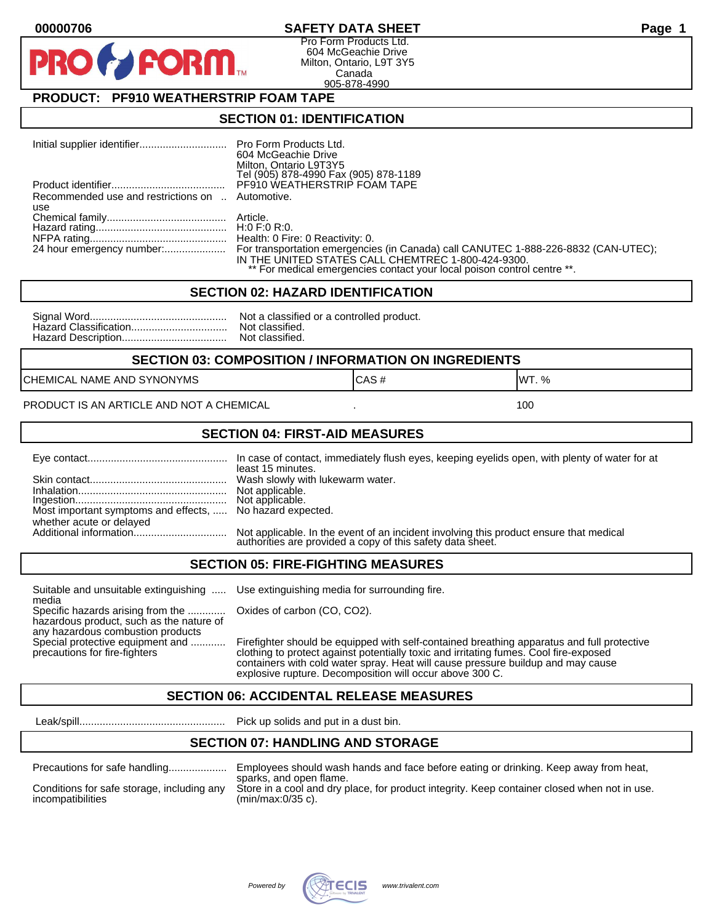### **00000706 SAFETY DATA SHEET Page 1**

Pro Form Products Ltd. 604 McGeachie Drive Milton, Ontario, L9T 3Y5 Canada 905-878-4990

### **PRODUCT: PF910 WEATHERSTRIP FOAM TAPE**

**FORM** 

#### **SECTION 01: IDENTIFICATION**

|                                                  | 604 McGeachie Drive                                                     |
|--------------------------------------------------|-------------------------------------------------------------------------|
|                                                  | Milton, Ontario L9T3Y5                                                  |
|                                                  | Tel (905) 878-4990 Fax (905) 878-1189                                   |
|                                                  | PF910 WEATHERSTRIP FOAM TAPE                                            |
| Recommended use and restrictions on  Automotive. |                                                                         |
| use                                              |                                                                         |
|                                                  |                                                                         |
|                                                  |                                                                         |
|                                                  |                                                                         |
|                                                  |                                                                         |
|                                                  | IN THE UNITED STATES CALL CHEMTREC 1-800-424-9300.                      |
|                                                  | ** For medical emergencies contact your local poison control centre **. |

#### **SECTION 02: HAZARD IDENTIFICATION**

| No |
|----|
| No |
| No |

ot a classified or a controlled product. ot classified. ot classified.

#### **SECTION 03: COMPOSITION / INFORMATION ON INGREDIENTS**

CHEMICAL NAME AND SYNONYMS GAS AND CAS # CAS # WT. %

#### PRODUCT IS AN ARTICLE AND NOT A CHEMICAL **AND THE SET AND A SET ALL ASSAULT** 100

#### **SECTION 04: FIRST-AID MEASURES**

|                                                                                       | least 15 minutes.                                                                                                                                    |
|---------------------------------------------------------------------------------------|------------------------------------------------------------------------------------------------------------------------------------------------------|
|                                                                                       |                                                                                                                                                      |
| Most important symptoms and effects,  No hazard expected.<br>whether acute or delayed |                                                                                                                                                      |
|                                                                                       | Not applicable. In the event of an incident involving this product ensure that medical<br>authorities are provided a copy of this safety data sheet. |

#### **SECTION 05: FIRE-FIGHTING MEASURES**

Suitable and unsuitable extinguishing ..... Use extinguishing media for surrounding fire. media

Specific hazards arising from the ............. Oxides of carbon (CO, CO2). hazardous product, such as the nature of any hazardous combustion products

Special protective equipment and ............ Firefighter should be equipped with self-contained breathing apparatus and full protective<br>precautions for fire-fighters continent clothing to protect against potentially toxic clothing to protect against potentially toxic and irritating fumes. Cool fire-exposed containers with cold water spray. Heat will cause pressure buildup and may cause explosive rupture. Decomposition will occur above 300 C.

### **SECTION 06: ACCIDENTAL RELEASE MEASURES**

Leak/spill.................................................. Pick up solids and put in a dust bin.

### **SECTION 07: HANDLING AND STORAGE**

| Precautions for safe handling |  |  |
|-------------------------------|--|--|
|                               |  |  |

incompatibilities (min/max:0/35 c).

Precautions for safe handling.................... Employees should wash hands and face before eating or drinking. Keep away from heat, sparks, and open flame. Conditions for safe storage, including any Store in a cool and dry place, for product integrity. Keep container closed when not in use.

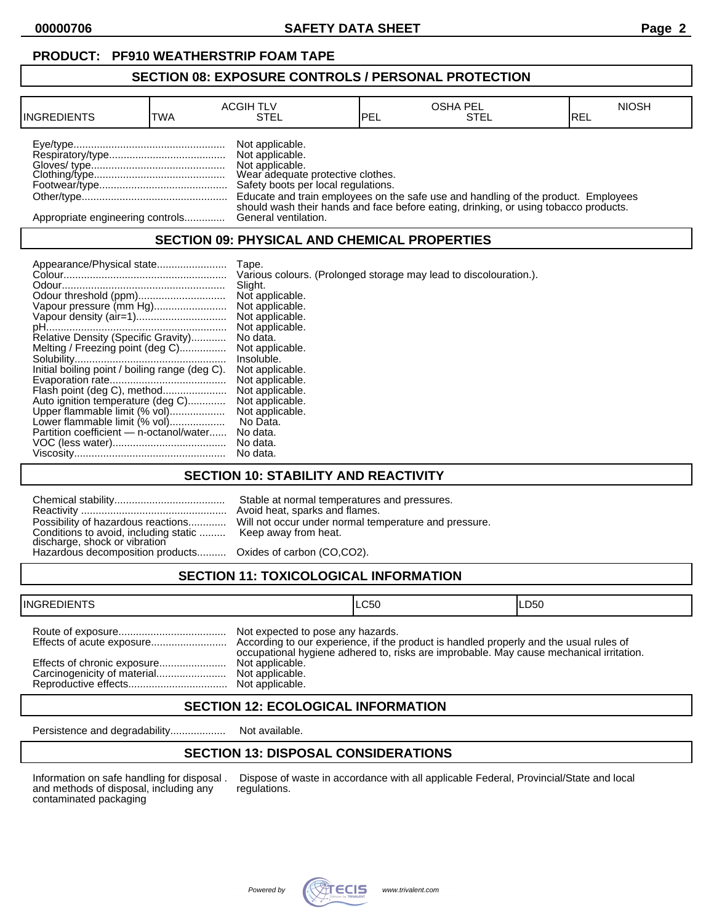**00000706 SAFETY DATA SHEET Page 2**

#### **SECTION 08: EXPOSURE CONTROLS / PERSONAL PROTECTION**

| <b>INGREDIENTS</b>               | <b>TWA</b> | <b>ACGIH TLV</b><br>STEL                                                                                                          | PEL | <b>OSHA PEL</b><br>STEL                                                                                                                                                    | <b>NIOSH</b><br>IREL |
|----------------------------------|------------|-----------------------------------------------------------------------------------------------------------------------------------|-----|----------------------------------------------------------------------------------------------------------------------------------------------------------------------------|----------------------|
|                                  |            | Not applicable.<br>Not applicable.<br>Not applicable.<br>Wear adequate protective clothes.<br>Safety boots per local regulations. |     | Educate and train employees on the safe use and handling of the product. Employees<br>should wash their hands and face before eating, drinking, or using tobacco products. |                      |
| Appropriate engineering controls |            | General ventilation.                                                                                                              |     |                                                                                                                                                                            |                      |

### **SECTION 09: PHYSICAL AND CHEMICAL PROPERTIES**

|                                                | Tape.                                                             |
|------------------------------------------------|-------------------------------------------------------------------|
|                                                | Various colours. (Prolonged storage may lead to discolouration.). |
|                                                | Slight.                                                           |
|                                                | Not applicable.                                                   |
| Vapour pressure (mm Hg)                        | Not applicable.                                                   |
|                                                | Not applicable.                                                   |
|                                                | Not applicable.                                                   |
| Relative Density (Specific Gravity)            | No data.                                                          |
| Melting / Freezing point (deg C)               | Not applicable.                                                   |
|                                                | Insoluble.                                                        |
| Initial boiling point / boiling range (deg C). | Not applicable.                                                   |
|                                                | Not applicable.                                                   |
| Flash point (deg C), method                    | Not applicable.                                                   |
| Auto ignition temperature (deg C)              | Not applicable.                                                   |
| Upper flammable limit (% vol)                  | Not applicable.                                                   |
| Lower flammable limit (% vol)                  | No Data.                                                          |
| Partition coefficient - n-octanol/water        | No data.                                                          |
|                                                | No data.                                                          |
|                                                | No data.                                                          |

### **SECTION 10: STABILITY AND REACTIVITY**

| Conditions to avoid, including static  Keep away from heat.<br>discharge, shock or vibration<br>Hazardous decomposition products Oxides of carbon (CO,CO2). | Stable at normal temperatures and pressures.<br>Avoid heat, sparks and flames.<br>Possibility of hazardous reactions Will not occur under normal temperature and pressure. |
|-------------------------------------------------------------------------------------------------------------------------------------------------------------|----------------------------------------------------------------------------------------------------------------------------------------------------------------------------|
|                                                                                                                                                             |                                                                                                                                                                            |

## **SECTION 11: TOXICOLOGICAL INFORMATION**

| <b>INGREDIENTS</b> |                                                                                            | ILC50                                                                                   | ILD50 |
|--------------------|--------------------------------------------------------------------------------------------|-----------------------------------------------------------------------------------------|-------|
|                    | Not expected to pose any hazards.<br>Not applicable.<br>Not applicable.<br>Not applicable. | occupational hygiene adhered to, risks are improbable. May cause mechanical irritation. |       |

### **SECTION 12: ECOLOGICAL INFORMATION**

Persistence and degradability................... Not available.

## **SECTION 13: DISPOSAL CONSIDERATIONS**

and methods of disposal, including any contaminated packaging

Information on safe handling for disposal . Dispose of waste in accordance with all applicable Federal, Provincial/State and local